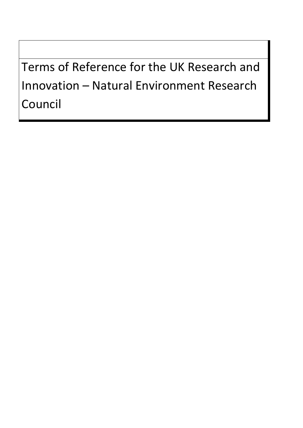Terms of Reference for the UK Research and Innovation – Natural Environment Research Council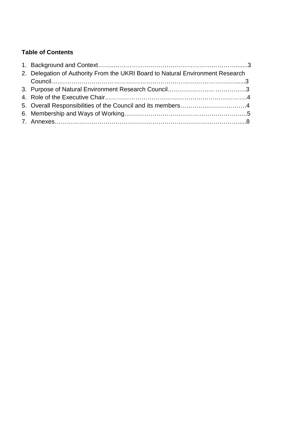# **Table of Contents**

| 2. Delegation of Authority From the UKRI Board to Natural Environment Research |  |
|--------------------------------------------------------------------------------|--|
|                                                                                |  |
|                                                                                |  |
|                                                                                |  |
|                                                                                |  |
|                                                                                |  |
|                                                                                |  |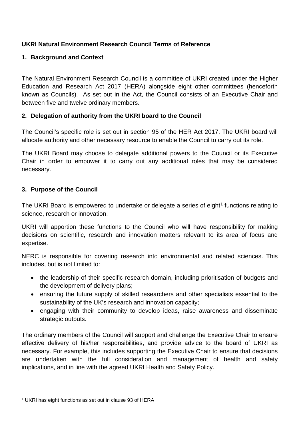## **UKRI Natural Environment Research Council Terms of Reference**

## **1. Background and Context**

The Natural Environment Research Council is a committee of UKRI created under the Higher Education and Research Act 2017 (HERA) alongside eight other committees (henceforth known as Councils). As set out in the Act, the Council consists of an Executive Chair and between five and twelve ordinary members.

### **2. Delegation of authority from the UKRI board to the Council**

The Council's specific role is set out in section 95 of the HER Act 2017. The UKRI board will allocate authority and other necessary resource to enable the Council to carry out its role.

The UKRI Board may choose to delegate additional powers to the Council or its Executive Chair in order to empower it to carry out any additional roles that may be considered necessary.

#### **3. Purpose of the Council**

The UKRI Board is empowered to undertake or delegate a series of eight<sup>[1](#page-2-0)</sup> functions relating to science, research or innovation.

UKRI will apportion these functions to the Council who will have responsibility for making decisions on scientific, research and innovation matters relevant to its area of focus and expertise.

NERC is responsible for covering research into environmental and related sciences. This includes, but is not limited to:

- the leadership of their specific research domain, including prioritisation of budgets and the development of delivery plans;
- ensuring the future supply of skilled researchers and other specialists essential to the sustainability of the UK's research and innovation capacity;
- engaging with their community to develop ideas, raise awareness and disseminate strategic outputs.

The ordinary members of the Council will support and challenge the Executive Chair to ensure effective delivery of his/her responsibilities, and provide advice to the board of UKRI as necessary. For example, this includes supporting the Executive Chair to ensure that decisions are undertaken with the full consideration and management of health and safety implications, and in line with the agreed UKRI Health and Safety Policy.

<span id="page-2-0"></span> $\overline{a}$ <sup>1</sup> UKRI has eight functions as set out in clause 93 of HERA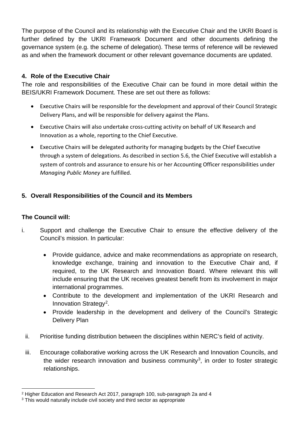The purpose of the Council and its relationship with the Executive Chair and the UKRI Board is further defined by the UKRI Framework Document and other documents defining the governance system (e.g. the scheme of delegation). These terms of reference will be reviewed as and when the framework document or other relevant governance documents are updated.

### **4. Role of the Executive Chair**

The role and responsibilities of the Executive Chair can be found in more detail within the BEIS/UKRI Framework Document. These are set out there as follows:

- Executive Chairs will be responsible for the development and approval of their Council Strategic Delivery Plans, and will be responsible for delivery against the Plans.
- Executive Chairs will also undertake cross-cutting activity on behalf of UK Research and Innovation as a whole, reporting to the Chief Executive.
- Executive Chairs will be delegated authority for managing budgets by the Chief Executive through a system of delegations. As described in section 5.6, the Chief Executive will establish a system of controls and assurance to ensure his or her Accounting Officer responsibilities under *Managing Public Money* are fulfilled.

## **5. Overall Responsibilities of the Council and its Members**

#### **The Council will:**

- i. Support and challenge the Executive Chair to ensure the effective delivery of the Council's mission. In particular:
	- Provide guidance, advice and make recommendations as appropriate on research, knowledge exchange, training and innovation to the Executive Chair and, if required, to the UK Research and Innovation Board. Where relevant this will include ensuring that the UK receives greatest benefit from its involvement in major international programmes.
	- Contribute to the development and implementation of the UKRI Research and Innovation Strategy<sup>2</sup>.
	- Provide leadership in the development and delivery of the Council's Strategic Delivery Plan
	- ii. Prioritise funding distribution between the disciplines within NERC's field of activity.
	- iii. Encourage collaborative working across the UK Research and Innovation Councils, and the wider research innovation and business community<sup>3</sup>, in order to foster strategic relationships.

 $\overline{a}$ <sup>2</sup> Higher Education and Research Act 2017, paragraph 100, sub-paragraph 2a and 4

<span id="page-3-1"></span><span id="page-3-0"></span><sup>&</sup>lt;sup>3</sup> This would naturally include civil society and third sector as appropriate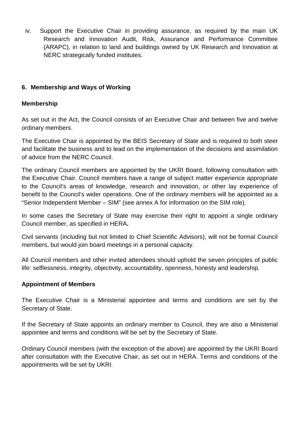iv. Support the Executive Chair in providing assurance, as required by the main UK Research and Innovation Audit, Risk, Assurance and Performance Committee (ARAPC), in relation to land and buildings owned by UK Research and Innovation at NERC strategically funded institutes.

### **6. Membership and Ways of Working**

#### **Membership**

As set out in the Act, the Council consists of an Executive Chair and between five and twelve ordinary members.

The Executive Chair is appointed by the BEIS Secretary of State and is required to both steer and facilitate the business and to lead on the implementation of the decisions and assimilation of advice from the NERC Council.

The ordinary Council members are appointed by the UKRI Board, following consultation with the Executive Chair. Council members have a range of subject matter experience appropriate to the Council's areas of knowledge, research and innovation, or other lay experience of benefit to the Council's wider operations. One of the ordinary members will be appointed as a "Senior Independent Member – SIM" (see annex A for information on the SIM role).

In some cases the Secretary of State may exercise their right to appoint a single ordinary Council member, as specified in HERA**.** 

Civil servants (including but not limited to Chief Scientific Advisors), will not be formal Council members, but would join board meetings in a personal capacity.

All Council members and other invited attendees should uphold the seven principles of public life: selflessness, integrity, objectivity, accountability, openness, honesty and leadership.

#### **Appointment of Members**

The Executive Chair is a Ministerial appointee and terms and conditions are set by the Secretary of State.

If the Secretary of State appoints an ordinary member to Council, they are also a Ministerial appointee and terms and conditions will be set by the Secretary of State.

Ordinary Council members (with the exception of the above) are appointed by the UKRI Board after consultation with the Executive Chair, as set out in HERA. Terms and conditions of the appointments will be set by UKRI.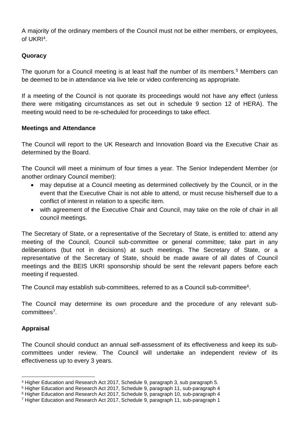A majority of the ordinary members of the Council must not be either members, or employees, of UKRI[4](#page-5-0).

#### **Quoracy**

The quorum for a Council meeting is at least half the number of its members.<sup>5</sup> Members can be deemed to be in attendance via live tele or video conferencing as appropriate.

If a meeting of the Council is not quorate its proceedings would not have any effect (unless there were mitigating circumstances as set out in schedule 9 section 12 of HERA). The meeting would need to be re-scheduled for proceedings to take effect.

#### **Meetings and Attendance**

The Council will report to the UK Research and Innovation Board via the Executive Chair as determined by the Board.

The Council will meet a minimum of four times a year. The Senior Independent Member (or another ordinary Council member):

- may deputise at a Council meeting as determined collectively by the Council, or in the event that the Executive Chair is not able to attend, or must recuse his/herself due to a conflict of interest in relation to a specific item.
- with agreement of the Executive Chair and Council, may take on the role of chair in all council meetings.

The Secretary of State, or a representative of the Secretary of State, is entitled to: attend any meeting of the Council, Council sub-committee or general committee; take part in any deliberations (but not in decisions) at such meetings. The Secretary of State, or a representative of the Secretary of State, should be made aware of all dates of Council meetings and the BEIS UKRI sponsorship should be sent the relevant papers before each meeting if requested.

The Council may establish sub-committees, referred to as a Council sub-committee<sup>[6](#page-5-2)</sup>.

The Council may determine its own procedure and the procedure of any relevant subcommittees[7](#page-5-3).

#### **Appraisal**

The Council should conduct an annual self-assessment of its effectiveness and keep its subcommittees under review. The Council will undertake an independent review of its effectiveness up to every 3 years.

 $\overline{a}$ <sup>4</sup> Higher Education and Research Act 2017, Schedule 9, paragraph 3, sub paragraph 5.

<span id="page-5-1"></span><span id="page-5-0"></span><sup>5</sup> Higher Education and Research Act 2017, Schedule 9, paragraph 11, sub-paragraph 4

<span id="page-5-2"></span><sup>6</sup> Higher Education and Research Act 2017, Schedule 9, paragraph 10, sub-paragraph 4

<span id="page-5-3"></span><sup>7</sup> Higher Education and Research Act 2017, Schedule 9, paragraph 11, sub-paragraph 1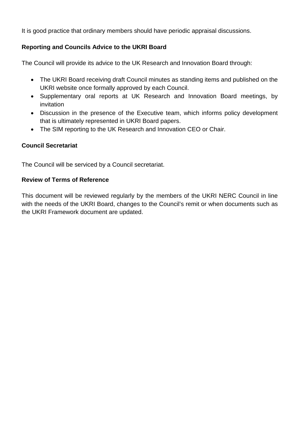It is good practice that ordinary members should have periodic appraisal discussions.

#### **Reporting and Councils Advice to the UKRI Board**

The Council will provide its advice to the UK Research and Innovation Board through:

- The UKRI Board receiving draft Council minutes as standing items and published on the UKRI website once formally approved by each Council.
- Supplementary oral reports at UK Research and Innovation Board meetings, by invitation
- Discussion in the presence of the Executive team, which informs policy development that is ultimately represented in UKRI Board papers.
- The SIM reporting to the UK Research and Innovation CEO or Chair.

#### **Council Secretariat**

The Council will be serviced by a Council secretariat.

#### **Review of Terms of Reference**

This document will be reviewed regularly by the members of the UKRI NERC Council in line with the needs of the UKRI Board, changes to the Council's remit or when documents such as the UKRI Framework document are updated.